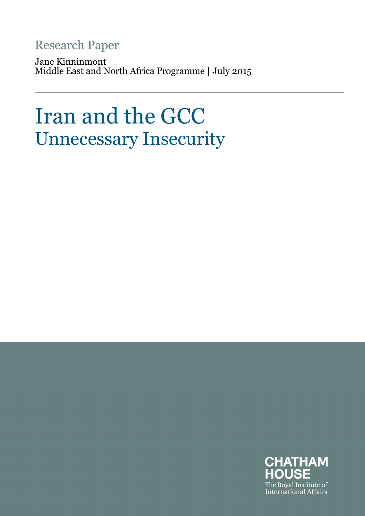# Research Paper

Jane Kinninmont Middle East and North Africa Programme | July 2015

# Iran and the GCC Unnecessary Insecurity

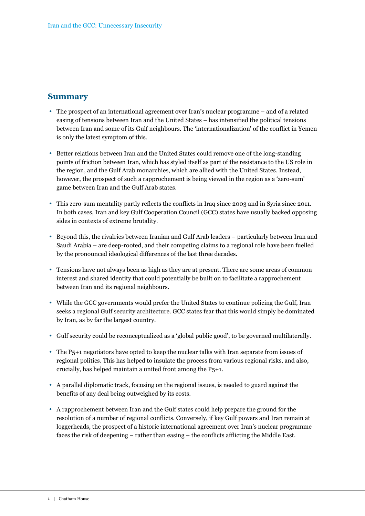#### **Summary**

- The prospect of an international agreement over Iran's nuclear programme and of a related easing of tensions between Iran and the United States – has intensified the political tensions between Iran and some of its Gulf neighbours. The 'internationalization' of the conflict in Yemen is only the latest symptom of this.
- Better relations between Iran and the United States could remove one of the long-standing points of friction between Iran, which has styled itself as part of the resistance to the US role in the region, and the Gulf Arab monarchies, which are allied with the United States. Instead, however, the prospect of such a rapprochement is being viewed in the region as a 'zero-sum' game between Iran and the Gulf Arab states.
- This zero-sum mentality partly reflects the conflicts in Iraq since 2003 and in Syria since 2011. In both cases, Iran and key Gulf Cooperation Council (GCC) states have usually backed opposing sides in contexts of extreme brutality.
- Beyond this, the rivalries between Iranian and Gulf Arab leaders particularly between Iran and Saudi Arabia – are deep-rooted, and their competing claims to a regional role have been fuelled by the pronounced ideological differences of the last three decades.
- Tensions have not always been as high as they are at present. There are some areas of common interest and shared identity that could potentially be built on to facilitate a rapprochement between Iran and its regional neighbours.
- While the GCC governments would prefer the United States to continue policing the Gulf, Iran seeks a regional Gulf security architecture. GCC states fear that this would simply be dominated by Iran, as by far the largest country.
- Gulf security could be reconceptualized as a 'global public good', to be governed multilaterally.
- The P<sub>5</sub>+1 negotiators have opted to keep the nuclear talks with Iran separate from issues of regional politics. This has helped to insulate the process from various regional risks, and also, crucially, has helped maintain a united front among the P5+1.
- A parallel diplomatic track, focusing on the regional issues, is needed to guard against the benefits of any deal being outweighed by its costs.
- A rapprochement between Iran and the Gulf states could help prepare the ground for the resolution of a number of regional conflicts. Conversely, if key Gulf powers and Iran remain at loggerheads, the prospect of a historic international agreement over Iran's nuclear programme faces the risk of deepening – rather than easing – the conflicts afflicting the Middle East.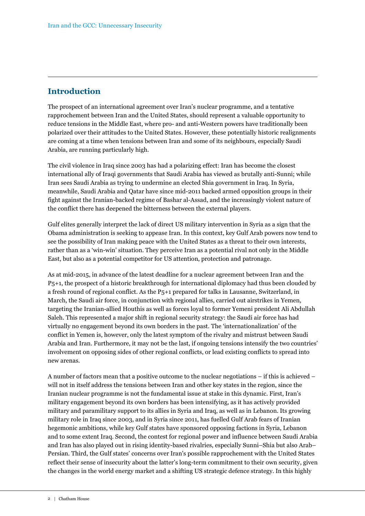## **Introduction**

The prospect of an international agreement over Iran's nuclear programme, and a tentative rapprochement between Iran and the United States, should represent a valuable opportunity to reduce tensions in the Middle East, where pro- and anti-Western powers have traditionally been polarized over their attitudes to the United States. However, these potentially historic realignments are coming at a time when tensions between Iran and some of its neighbours, especially Saudi Arabia, are running particularly high.

The civil violence in Iraq since 2003 has had a polarizing effect: Iran has become the closest international ally of Iraqi governments that Saudi Arabia has viewed as brutally anti-Sunni; while Iran sees Saudi Arabia as trying to undermine an elected Shia government in Iraq. In Syria, meanwhile, Saudi Arabia and Qatar have since mid-2011 backed armed opposition groups in their fight against the Iranian-backed regime of Bashar al-Assad, and the increasingly violent nature of the conflict there has deepened the bitterness between the external players.

Gulf elites generally interpret the lack of direct US military intervention in Syria as a sign that the Obama administration is seeking to appease Iran. In this context, key Gulf Arab powers now tend to see the possibility of Iran making peace with the United States as a threat to their own interests, rather than as a 'win-win' situation. They perceive Iran as a potential rival not only in the Middle East, but also as a potential competitor for US attention, protection and patronage.

As at mid-2015, in advance of the latest deadline for a nuclear agreement between Iran and the P5+1, the prospect of a historic breakthrough for international diplomacy had thus been clouded by a fresh round of regional conflict. As the P5+1 prepared for talks in Lausanne, Switzerland, in March, the Saudi air force, in conjunction with regional allies, carried out airstrikes in Yemen, targeting the Iranian-allied Houthis as well as forces loyal to former Yemeni president Ali Abdullah Saleh. This represented a major shift in regional security strategy: the Saudi air force has had virtually no engagement beyond its own borders in the past. The 'internationalization' of the conflict in Yemen is, however, only the latest symptom of the rivalry and mistrust between Saudi Arabia and Iran. Furthermore, it may not be the last, if ongoing tensions intensify the two countries' involvement on opposing sides of other regional conflicts, or lead existing conflicts to spread into new arenas.

A number of factors mean that a positive outcome to the nuclear negotiations – if this is achieved – will not in itself address the tensions between Iran and other key states in the region, since the Iranian nuclear programme is not the fundamental issue at stake in this dynamic. First, Iran's military engagement beyond its own borders has been intensifying, as it has actively provided military and paramilitary support to its allies in Syria and Iraq, as well as in Lebanon. Its growing military role in Iraq since 2003, and in Syria since 2011, has fuelled Gulf Arab fears of Iranian hegemonic ambitions, while key Gulf states have sponsored opposing factions in Syria, Lebanon and to some extent Iraq. Second, the contest for regional power and influence between Saudi Arabia and Iran has also played out in rising identity-based rivalries, especially Sunni–Shia but also Arab– Persian. Third, the Gulf states' concerns over Iran's possible rapprochement with the United States reflect their sense of insecurity about the latter's long-term commitment to their own security, given the changes in the world energy market and a shifting US strategic defence strategy. In this highly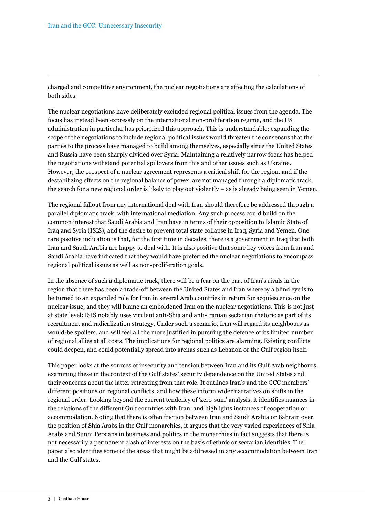charged and competitive environment, the nuclear negotiations are affecting the calculations of both sides.

The nuclear negotiations have deliberately excluded regional political issues from the agenda. The focus has instead been expressly on the international non-proliferation regime, and the US administration in particular has prioritized this approach. This is understandable: expanding the scope of the negotiations to include regional political issues would threaten the consensus that the parties to the process have managed to build among themselves, especially since the United States and Russia have been sharply divided over Syria. Maintaining a relatively narrow focus has helped the negotiations withstand potential spillovers from this and other issues such as Ukraine. However, the prospect of a nuclear agreement represents a critical shift for the region, and if the destabilizing effects on the regional balance of power are not managed through a diplomatic track, the search for a new regional order is likely to play out violently – as is already being seen in Yemen.

The regional fallout from any international deal with Iran should therefore be addressed through a parallel diplomatic track, with international mediation. Any such process could build on the common interest that Saudi Arabia and Iran have in terms of their opposition to Islamic State of Iraq and Syria (ISIS), and the desire to prevent total state collapse in Iraq, Syria and Yemen. One rare positive indication is that, for the first time in decades, there is a government in Iraq that both Iran and Saudi Arabia are happy to deal with. It is also positive that some key voices from Iran and Saudi Arabia have indicated that they would have preferred the nuclear negotiations to encompass regional political issues as well as non-proliferation goals.

In the absence of such a diplomatic track, there will be a fear on the part of Iran's rivals in the region that there has been a trade-off between the United States and Iran whereby a blind eye is to be turned to an expanded role for Iran in several Arab countries in return for acquiescence on the nuclear issue; and they will blame an emboldened Iran on the nuclear negotiations. This is not just at state level: ISIS notably uses virulent anti-Shia and anti-Iranian sectarian rhetoric as part of its recruitment and radicalization strategy. Under such a scenario, Iran will regard its neighbours as would-be spoilers, and will feel all the more justified in pursuing the defence of its limited number of regional allies at all costs. The implications for regional politics are alarming. Existing conflicts could deepen, and could potentially spread into arenas such as Lebanon or the Gulf region itself.

This paper looks at the sources of insecurity and tension between Iran and its Gulf Arab neighbours, examining these in the context of the Gulf states' security dependence on the United States and their concerns about the latter retreating from that role. It outlines Iran's and the GCC members' different positions on regional conflicts, and how these inform wider narratives on shifts in the regional order. Looking beyond the current tendency of 'zero-sum' analysis, it identifies nuances in the relations of the different Gulf countries with Iran, and highlights instances of cooperation or accommodation. Noting that there is often friction between Iran and Saudi Arabia or Bahrain over the position of Shia Arabs in the Gulf monarchies, it argues that the very varied experiences of Shia Arabs and Sunni Persians in business and politics in the monarchies in fact suggests that there is not necessarily a permanent clash of interests on the basis of ethnic or sectarian identities. The paper also identifies some of the areas that might be addressed in any accommodation between Iran and the Gulf states.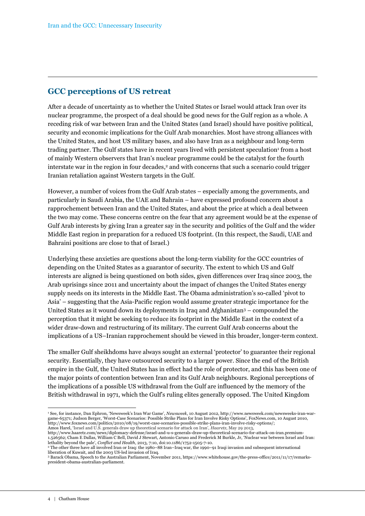#### **GCC perceptions of US retreat**

After a decade of uncertainty as to whether the United States or Israel would attack Iran over its nuclear programme, the prospect of a deal should be good news for the Gulf region as a whole. A receding risk of war between Iran and the United States (and Israel) should have positive political, security and economic implications for the Gulf Arab monarchies. Most have strong alliances with the United States, and host US military bases, and also have Iran as a neighbour and long-term trading partner. The Gulf states have in recent years lived with persistent speculation<sup>1</sup> from a host of mainly Western observers that Iran's nuclear programme could be the catalyst for the fourth interstate war in the region in four decades,<sup>2</sup> and with concerns that such a scenario could trigger Iranian retaliation against Western targets in the Gulf.

However, a number of voices from the Gulf Arab states – especially among the governments, and particularly in Saudi Arabia, the UAE and Bahrain – have expressed profound concern about a rapprochement between Iran and the United States, and about the price at which a deal between the two may come. These concerns centre on the fear that any agreement would be at the expense of Gulf Arab interests by giving Iran a greater say in the security and politics of the Gulf and the wider Middle East region in preparation for a reduced US footprint. (In this respect, the Saudi, UAE and Bahraini positions are close to that of Israel.)

Underlying these anxieties are questions about the long-term viability for the GCC countries of depending on the United States as a guarantor of security. The extent to which US and Gulf interests are aligned is being questioned on both sides, given differences over Iraq since 2003, the Arab uprisings since 2011 and uncertainty about the impact of changes the United States energy supply needs on its interests in the Middle East. The Obama administration's so-called 'pivot to Asia' – suggesting that the Asia-Pacific region would assume greater strategic importance for the United States as it wound down its deployments in Iraq and Afghanistan3 – compounded the perception that it might be seeking to reduce its footprint in the Middle East in the context of a wider draw-down and restructuring of its military. The current Gulf Arab concerns about the implications of a US–Iranian rapprochement should be viewed in this broader, longer-term context.

The smaller Gulf sheikhdoms have always sought an external 'protector' to guarantee their regional security. Essentially, they have outsourced security to a larger power. Since the end of the British empire in the Gulf, the United States has in effect had the role of protector, and this has been one of the major points of contention between Iran and its Gulf Arab neighbours. Regional perceptions of the implications of a possible US withdrawal from the Gulf are influenced by the memory of the British withdrawal in 1971, which the Gulf's ruling elites generally opposed. The United Kingdom

http://www.haaretz.com/news/diplomacy-defense/israel-and-u-s-generals-draw-up-theoretical-scenario-for-attack-on-iran.premium-1.526562; Cham E Dallas, William C Bell, David J Stewart, Antonio Caruso and Frederick M Burkle, Jr, 'Nuclear war between Israel and Iran: lethality beyond the pale', *Conflict and Health*, 2013, 7:10, doi:10.1186/1752-1505-7-10.

<sup>1</sup> See, for instance, Dan Ephron, 'Newsweek's Iran War Game', *Newsweek*, 10 August 2012, http://www.newsweek.com/newsweeks-iran-wargame-65371; Judson Berger, 'Worst-Case Scenarios: Possible Strike Plans for Iran Involve Risky Options', FoxNews.com, 10 August 2010, http://www.foxnews.com/politics/2010/08/19/worst-case-scenarios-possible-strike-plans-iran-involve-risky-options/; Amos Harel, 'Israel and U.S. generals draw up theoretical scenario for attack on Iran', *Haaretz*, May 29 2013,

<sup>2</sup> The other three have all involved Iran or Iraq: the 1980–88 Iran–Iraq war, the 1990–91 Iraqi invasion and subsequent international liberation of Kuwait, and the 2003 US-led invasion of Iraq.

<sup>3</sup> Barack Obama, Speech to the Australian Parliament, November 2011, https://www.whitehouse.gov/the-press-office/2011/11/17/remarkspresident-obama-australian-parliament.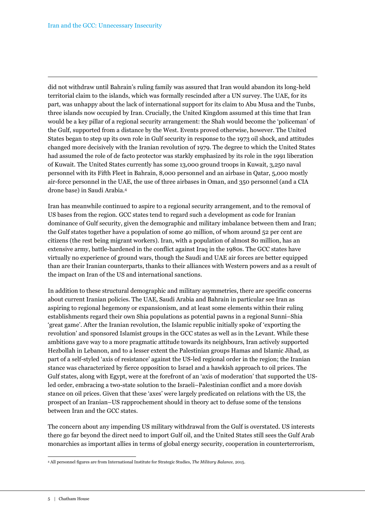did not withdraw until Bahrain's ruling family was assured that Iran would abandon its long-held territorial claim to the islands, which was formally rescinded after a UN survey. The UAE, for its part, was unhappy about the lack of international support for its claim to Abu Musa and the Tunbs, three islands now occupied by Iran. Crucially, the United Kingdom assumed at this time that Iran would be a key pillar of a regional security arrangement: the Shah would become the 'policeman' of the Gulf, supported from a distance by the West. Events proved otherwise, however. The United States began to step up its own role in Gulf security in response to the 1973 oil shock, and attitudes changed more decisively with the Iranian revolution of 1979. The degree to which the United States had assumed the role of de facto protector was starkly emphasized by its role in the 1991 liberation of Kuwait. The United States currently has some 13,000 ground troops in Kuwait, 3,250 naval personnel with its Fifth Fleet in Bahrain, 8,000 personnel and an airbase in Qatar, 5,000 mostly air-force personnel in the UAE, the use of three airbases in Oman, and 350 personnel (and a CIA drone base) in Saudi Arabia.<sup>4</sup>

Iran has meanwhile continued to aspire to a regional security arrangement, and to the removal of US bases from the region. GCC states tend to regard such a development as code for Iranian dominance of Gulf security, given the demographic and military imbalance between them and Iran; the Gulf states together have a population of some 40 million, of whom around 52 per cent are citizens (the rest being migrant workers). Iran, with a population of almost 80 million, has an extensive army, battle-hardened in the conflict against Iraq in the 1980s. The GCC states have virtually no experience of ground wars, though the Saudi and UAE air forces are better equipped than are their Iranian counterparts, thanks to their alliances with Western powers and as a result of the impact on Iran of the US and international sanctions.

In addition to these structural demographic and military asymmetries, there are specific concerns about current Iranian policies. The UAE, Saudi Arabia and Bahrain in particular see Iran as aspiring to regional hegemony or expansionism, and at least some elements within their ruling establishments regard their own Shia populations as potential pawns in a regional Sunni–Shia 'great game'. After the Iranian revolution, the Islamic republic initially spoke of 'exporting the revolution' and sponsored Islamist groups in the GCC states as well as in the Levant. While these ambitions gave way to a more pragmatic attitude towards its neighbours, Iran actively supported Hezbollah in Lebanon, and to a lesser extent the Palestinian groups Hamas and Islamic Jihad, as part of a self-styled 'axis of resistance' against the US-led regional order in the region; the Iranian stance was characterized by fierce opposition to Israel and a hawkish approach to oil prices. The Gulf states, along with Egypt, were at the forefront of an 'axis of moderation' that supported the USled order, embracing a two-state solution to the Israeli–Palestinian conflict and a more dovish stance on oil prices. Given that these 'axes' were largely predicated on relations with the US, the prospect of an Iranian–US rapprochement should in theory act to defuse some of the tensions between Iran and the GCC states.

The concern about any impending US military withdrawal from the Gulf is overstated. US interests there go far beyond the direct need to import Gulf oil, and the United States still sees the Gulf Arab monarchies as important allies in terms of global energy security, cooperation in counterterrorism,

 4 All personnel figures are from International Institute for Strategic Studies, *The Military Balance,* 2015.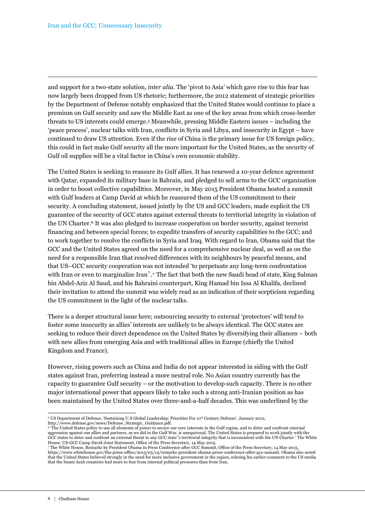and support for a two-state solution, *inter alia*. The 'pivot to Asia' which gave rise to this fear has now largely been dropped from US rhetoric; furthermore, the 2012 statement of strategic priorities by the Department of Defense notably emphasized that the United States would continue to place a premium on Gulf security and saw the Middle East as one of the key areas from which cross-border threats to US interests could emerge.5 Meanwhile, pressing Middle Eastern issues – including the 'peace process', nuclear talks with Iran, conflicts in Syria and Libya, and insecurity in Egypt – have continued to draw US attention. Even if the rise of China is the primary issue for US foreign policy, this could in fact make Gulf security all the more important for the United States, as the security of Gulf oil supplies will be a vital factor in China's own economic stability.

The United States is seeking to reassure its Gulf allies. It has renewed a 10-year defence agreement with Qatar, expanded its military base in Bahrain, and pledged to sell arms to the GCC organization in order to boost collective capabilities. Moreover, in May 2015 President Obama hosted a summit with Gulf leaders at Camp David at which he reassured them of the US commitment to their security. A concluding statement, issued jointly by the US and GCC leaders, made explicit the US guarantee of the security of GCC states against external threats to territorial integrity in violation of the UN Charter.6 It was also pledged to increase cooperation on border security, against terrorist financing and between special forces; to expedite transfers of security capabilities to the GCC; and to work together to resolve the conflicts in Syria and Iraq. With regard to Iran, Obama said that the GCC and the United States agreed on the need for a comprehensive nuclear deal, as well as on the need for a responsible Iran that resolved differences with its neighbours by peaceful means, and that US–GCC security cooperation was not intended 'to perpetuate any long-term confrontation with Iran or even to marginalize Iran'.<sup>7</sup> The fact that both the new Saudi head of state, King Salman bin Abdel-Aziz Al Saud, and his Bahraini counterpart, King Hamad bin Issa Al Khalifa, declined their invitation to attend the summit was widely read as an indication of their scepticism regarding the US commitment in the light of the nuclear talks.

There is a deeper structural issue here; outsourcing security to external 'protectors' will tend to foster some insecurity as allies' interests are unlikely to be always identical. The GCC states are seeking to reduce their direct dependence on the United States by diversifying their alliances – both with new allies from emerging Asia and with traditional allies in Europe (chiefly the United Kingdom and France).

However, rising powers such as China and India do not appear interested in siding with the Gulf states against Iran, preferring instead a more neutral role. No Asian country currently has the capacity to guarantee Gulf security – or the motivation to develop such capacity. There is no other major international power that appears likely to take such a strong anti-Iranian position as has been maintained by the United States over three-and-a-half decades. This was underlined by the

 5 US Department of Defense, 'Sustaining U.S Global Leadership: Priorities For 21st Century Defense', January 2012, http://www.defense.gov/news/Defense\_Strategic\_Guidance.pdf.

<sup>&</sup>lt;sup>6</sup> The United States policy to use all elements of power to secure our core interests in the Gulf region, and to deter and confront external aggression against our allies and partners, as we did in the Gulf War, is unequivocal. The United States is prepared to work jointly with the GCC states to deter and confront an external threat to any GCC state''s territorial integrity that is inconsistent with the UN Charter.' The White House, US-GCC Camp David Joint Statement, Office of the Press Secretary, 14 May 2015. 7 The White House, Remarks by President Obama in Press Conference after GCC Summit, Office of the Press Secretary, 14 May 2015,

https://www.whitehouse.gov/the-press-office/2015/05/14/remarks-president-obama-press-conference-after-gcc-summit. Obama also noted that the United States believed strongly in the need for more inclusive government in the region, echoing his earlier comment to the US media that the Sunni Arab countries had more to fear from internal political pressures than from Iran.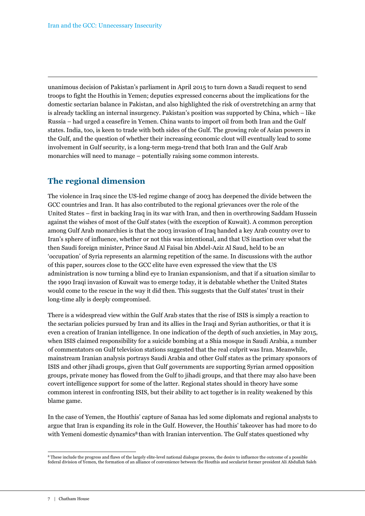unanimous decision of Pakistan's parliament in April 2015 to turn down a Saudi request to send troops to fight the Houthis in Yemen; deputies expressed concerns about the implications for the domestic sectarian balance in Pakistan, and also highlighted the risk of overstretching an army that is already tackling an internal insurgency. Pakistan's position was supported by China, which – like Russia – had urged a ceasefire in Yemen. China wants to import oil from both Iran and the Gulf states. India, too, is keen to trade with both sides of the Gulf. The growing role of Asian powers in the Gulf, and the question of whether their increasing economic clout will eventually lead to some involvement in Gulf security, is a long-term mega-trend that both Iran and the Gulf Arab monarchies will need to manage – potentially raising some common interests.

## **The regional dimension**

The violence in Iraq since the US-led regime change of 2003 has deepened the divide between the GCC countries and Iran. It has also contributed to the regional grievances over the role of the United States – first in backing Iraq in its war with Iran, and then in overthrowing Saddam Hussein against the wishes of most of the Gulf states (with the exception of Kuwait). A common perception among Gulf Arab monarchies is that the 2003 invasion of Iraq handed a key Arab country over to Iran's sphere of influence, whether or not this was intentional, and that US inaction over what the then Saudi foreign minister, Prince Saud Al Faisal bin Abdel-Aziz Al Saud, held to be an 'occupation' of Syria represents an alarming repetition of the same. In discussions with the author of this paper, sources close to the GCC elite have even expressed the view that the US administration is now turning a blind eye to Iranian expansionism, and that if a situation similar to the 1990 Iraqi invasion of Kuwait was to emerge today, it is debatable whether the United States would come to the rescue in the way it did then. This suggests that the Gulf states' trust in their long-time ally is deeply compromised.

There is a widespread view within the Gulf Arab states that the rise of ISIS is simply a reaction to the sectarian policies pursued by Iran and its allies in the Iraqi and Syrian authorities, or that it is even a creation of Iranian intelligence. In one indication of the depth of such anxieties, in May 2015, when ISIS claimed responsibility for a suicide bombing at a Shia mosque in Saudi Arabia, a number of commentators on Gulf television stations suggested that the real culprit was Iran. Meanwhile, mainstream Iranian analysis portrays Saudi Arabia and other Gulf states as the primary sponsors of ISIS and other jihadi groups, given that Gulf governments are supporting Syrian armed opposition groups, private money has flowed from the Gulf to jihadi groups, and that there may also have been covert intelligence support for some of the latter. Regional states should in theory have some common interest in confronting ISIS, but their ability to act together is in reality weakened by this blame game.

In the case of Yemen, the Houthis' capture of Sanaa has led some diplomats and regional analysts to argue that Iran is expanding its role in the Gulf. However, the Houthis' takeover has had more to do with Yemeni domestic dynamics<sup>8</sup> than with Iranian intervention. The Gulf states questioned why

 $\overline{a}$ <sup>8</sup> These include the progress and flaws of the largely elite-level national dialogue process, the desire to influence the outcome of a possible federal division of Yemen, the formation of an alliance of convenience between the Houthis and secularist former president Ali Abdullah Saleh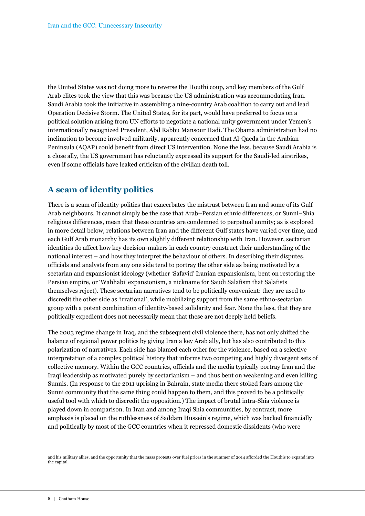the United States was not doing more to reverse the Houthi coup, and key members of the Gulf Arab elites took the view that this was because the US administration was accommodating Iran. Saudi Arabia took the initiative in assembling a nine-country Arab coalition to carry out and lead Operation Decisive Storm. The United States, for its part, would have preferred to focus on a political solution arising from UN efforts to negotiate a national unity government under Yemen's internationally recognized President, Abd Rabbu Mansour Hadi. The Obama administration had no inclination to become involved militarily, apparently concerned that Al-Qaeda in the Arabian Peninsula (AQAP) could benefit from direct US intervention. None the less, because Saudi Arabia is a close ally, the US government has reluctantly expressed its support for the Saudi-led airstrikes, even if some officials have leaked criticism of the civilian death toll.

#### **A seam of identity politics**

There is a seam of identity politics that exacerbates the mistrust between Iran and some of its Gulf Arab neighbours. It cannot simply be the case that Arab–Persian ethnic differences, or Sunni–Shia religious differences, mean that these countries are condemned to perpetual enmity; as is explored in more detail below, relations between Iran and the different Gulf states have varied over time, and each Gulf Arab monarchy has its own slightly different relationship with Iran. However, sectarian identities do affect how key decision-makers in each country construct their understanding of the national interest – and how they interpret the behaviour of others. In describing their disputes, officials and analysts from any one side tend to portray the other side as being motivated by a sectarian and expansionist ideology (whether 'Safavid' Iranian expansionism, bent on restoring the Persian empire, or 'Wahhabi' expansionism, a nickname for Saudi Salafism that Salafists themselves reject). These sectarian narratives tend to be politically convenient: they are used to discredit the other side as 'irrational', while mobilizing support from the same ethno-sectarian group with a potent combination of identity-based solidarity and fear. None the less, that they are politically expedient does not necessarily mean that these are not deeply held beliefs.

The 2003 regime change in Iraq, and the subsequent civil violence there, has not only shifted the balance of regional power politics by giving Iran a key Arab ally, but has also contributed to this polarization of narratives. Each side has blamed each other for the violence, based on a selective interpretation of a complex political history that informs two competing and highly divergent sets of collective memory. Within the GCC countries, officials and the media typically portray Iran and the Iraqi leadership as motivated purely by sectarianism – and thus bent on weakening and even killing Sunnis. (In response to the 2011 uprising in Bahrain, state media there stoked fears among the Sunni community that the same thing could happen to them, and this proved to be a politically useful tool with which to discredit the opposition.) The impact of brutal intra-Shia violence is played down in comparison. In Iran and among Iraqi Shia communities, by contrast, more emphasis is placed on the ruthlessness of Saddam Hussein's regime, which was backed financially and politically by most of the GCC countries when it repressed domestic dissidents (who were

and his military allies, and the opportunity that the mass protests over fuel prices in the summer of 2014 afforded the Houthis to expand into the capital.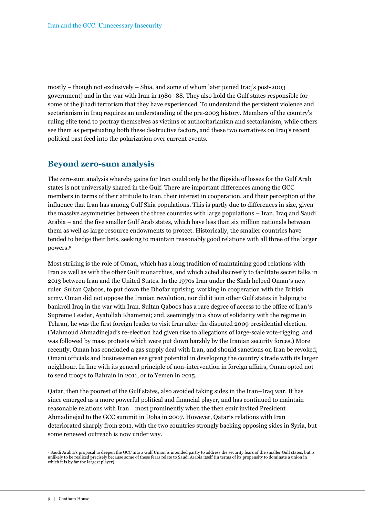mostly – though not exclusively – Shia, and some of whom later joined Iraq's post-2003 government) and in the war with Iran in 1980–88. They also hold the Gulf states responsible for some of the jihadi terrorism that they have experienced. To understand the persistent violence and sectarianism in Iraq requires an understanding of the pre-2003 history. Members of the country's ruling elite tend to portray themselves as victims of authoritarianism and sectarianism, while others see them as perpetuating both these destructive factors, and these two narratives on Iraq's recent political past feed into the polarization over current events.

#### **Beyond zero-sum analysis**

The zero-sum analysis whereby gains for Iran could only be the flipside of losses for the Gulf Arab states is not universally shared in the Gulf. There are important differences among the GCC members in terms of their attitude to Iran, their interest in cooperation, and their perception of the influence that Iran has among Gulf Shia populations. This is partly due to differences in size, given the massive asymmetries between the three countries with large populations – Iran, Iraq and Saudi Arabia – and the five smaller Gulf Arab states, which have less than six million nationals between them as well as large resource endowments to protect. Historically, the smaller countries have tended to hedge their bets, seeking to maintain reasonably good relations with all three of the larger powers.<sup>9</sup>

Most striking is the role of Oman, which has a long tradition of maintaining good relations with Iran as well as with the other Gulf monarchies, and which acted discreetly to facilitate secret talks in 2013 between Iran and the United States. In the 1970s Iran under the Shah helped Oman's new ruler, Sultan Qaboos, to put down the Dhofar uprising, working in cooperation with the British army. Oman did not oppose the Iranian revolution, nor did it join other Gulf states in helping to bankroll Iraq in the war with Iran. Sultan Qaboos has a rare degree of access to the office of Iran's Supreme Leader, Ayatollah Khamenei; and, seemingly in a show of solidarity with the regime in Tehran, he was the first foreign leader to visit Iran after the disputed 2009 presidential election. (Mahmoud Ahmadinejad's re-election had given rise to allegations of large-scale vote-rigging, and was followed by mass protests which were put down harshly by the Iranian security forces.) More recently, Oman has concluded a gas supply deal with Iran, and should sanctions on Iran be revoked, Omani officials and businessmen see great potential in developing the country's trade with its larger neighbour. In line with its general principle of non-intervention in foreign affairs, Oman opted not to send troops to Bahrain in 2011, or to Yemen in 2015.

Qatar, then the poorest of the Gulf states, also avoided taking sides in the Iran–Iraq war. It has since emerged as a more powerful political and financial player, and has continued to maintain reasonable relations with Iran – most prominently when the then emir invited President Ahmadinejad to the GCC summit in Doha in 2007. However, Qatar's relations with Iran deteriorated sharply from 2011, with the two countries strongly backing opposing sides in Syria, but some renewed outreach is now under way.

<sup>9</sup> Saudi Arabia's proposal to deepen the GCC into a Gulf Union is intended partly to address the security fears of the smaller Gulf states, but is unlikely to be realized precisely because some of these fears relate to Saudi Arabia itself (in terms of its propensity to dominate a union in which it is by far the largest player).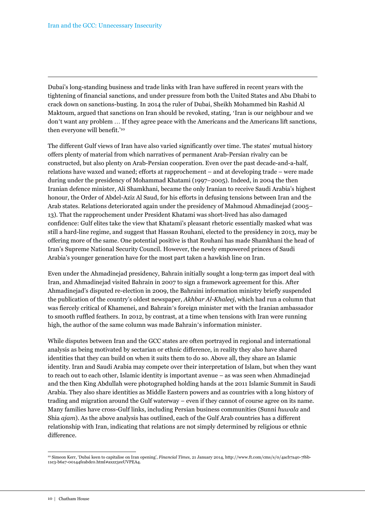Dubai's long-standing business and trade links with Iran have suffered in recent years with the tightening of financial sanctions, and under pressure from both the United States and Abu Dhabi to crack down on sanctions-busting. In 2014 the ruler of Dubai, Sheikh Mohammed bin Rashid Al Maktoum, argued that sanctions on Iran should be revoked, stating, 'Iran is our neighbour and we don't want any problem … If they agree peace with the Americans and the Americans lift sanctions, then everyone will benefit.'<sup>10</sup>

The different Gulf views of Iran have also varied significantly over time. The states' mutual history offers plenty of material from which narratives of permanent Arab-Persian rivalry can be constructed, but also plenty on Arab-Persian cooperation. Even over the past decade-and-a-half, relations have waxed and waned; efforts at rapprochement – and at developing trade – were made during under the presidency of Mohammad Khatami (1997–2005). Indeed, in 2004 the then Iranian defence minister, Ali Shamkhani, became the only Iranian to receive Saudi Arabia's highest honour, the Order of Abdel-Aziz Al Saud, for his efforts in defusing tensions between Iran and the Arab states. Relations deteriorated again under the presidency of Mahmoud Ahmadinejad (2005– 13). That the rapprochement under President Khatami was short-lived has also damaged confidence: Gulf elites take the view that Khatami's pleasant rhetoric essentially masked what was still a hard-line regime, and suggest that Hassan Rouhani, elected to the presidency in 2013, may be offering more of the same. One potential positive is that Rouhani has made Shamkhani the head of Iran's Supreme National Security Council. However, the newly empowered princes of Saudi Arabia's younger generation have for the most part taken a hawkish line on Iran.

Even under the Ahmadinejad presidency, Bahrain initially sought a long-term gas import deal with Iran, and Ahmadinejad visited Bahrain in 2007 to sign a framework agreement for this. After Ahmadinejad's disputed re-election in 2009, the Bahraini information ministry briefly suspended the publication of the country's oldest newspaper, *Akhbar Al-Khaleej*, which had run a column that was fiercely critical of Khamenei, and Bahrain's foreign minister met with the Iranian ambassador to smooth ruffled feathers. In 2012, by contrast, at a time when tensions with Iran were running high, the author of the same column was made Bahrain's information minister.

While disputes between Iran and the GCC states are often portrayed in regional and international analysis as being motivated by sectarian or ethnic difference, in reality they also have shared identities that they can build on when it suits them to do so. Above all, they share an Islamic identity. Iran and Saudi Arabia may compete over their interpretation of Islam, but when they want to reach out to each other, Islamic identity is important avenue – as was seen when Ahmadinejad and the then King Abdullah were photographed holding hands at the 2011 Islamic Summit in Saudi Arabia. They also share identities as Middle Eastern powers and as countries with a long history of trading and migration around the Gulf waterway – even if they cannot of course agree on its name. Many families have cross-Gulf links, including Persian business communities (Sunni *huwala* and Shia *ajam*). As the above analysis has outlined, each of the Gulf Arab countries has a different relationship with Iran, indicating that relations are not simply determined by religious or ethnic difference.

 $\overline{a}$ 10 Simeon Kerr, 'Dubai keen to capitalise on Iran opening', *Financial Times*, 21 January 2014, http://www.ft.com/cms/s/0/4acb7a40-7f6b-11e3-b6a7-00144feabdc0.html#axzz3eeUVPEA4.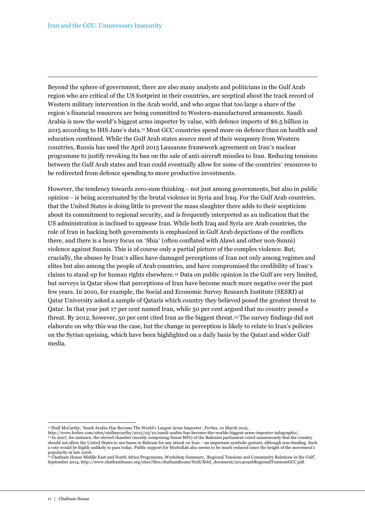Beyond the sphere of government, there are also many analysts and politicians in the Gulf Arab region who are critical of the US footprint in their countries, are sceptical about the track record of Western military intervention in the Arab world, and who argue that too large a share of the region's financial resources are being committed to Western-manufactured armaments. Saudi Arabia is now the world's biggest arms importer by value, with defence imports of \$6.5 billion in 2015 according to IHS Jane's data.11 Most GCC countries spend more on defence than on health and education combined. While the Gulf Arab states source most of their weaponry from Western countries, Russia has used the April 2015 Lausanne framework agreement on Iran's nuclear programme to justify revoking its ban on the sale of anti-aircraft missiles to Iran. Reducing tensions between the Gulf Arab states and Iran could eventually allow for some of the countries' resources to be redirected from defence spending to more productive investments.

However, the tendency towards zero-sum thinking – not just among governments, but also in public opinion – is being accentuated by the brutal violence in Syria and Iraq. For the Gulf Arab countries, that the United States is doing little to prevent the mass slaughter there adds to their scepticism about its commitment to regional security, and is frequently interpreted as an indication that the US administration is inclined to appease Iran. While both Iraq and Syria are Arab countries, the role of Iran in backing both governments is emphasized in Gulf Arab depictions of the conflicts there, and there is a heavy focus on 'Shia' (often conflated with Alawi and other non-Sunni) violence against Sunnis. This is of course only a partial picture of the complex violence. But, crucially, the abuses by Iran's allies have damaged perceptions of Iran not only among regimes and elites but also among the people of Arab countries, and have compromised the credibility of Iran's claims to stand up for human rights elsewhere.12 Data on public opinion in the Gulf are very limited, but surveys in Qatar show that perceptions of Iran have become much more negative over the past few years. In 2010, for example, the Social and Economic Survey Research Institute (SESRI) at Qatar University asked a sample of Qataris which country they believed posed the greatest threat to Qatar. In that year just 17 per cent named Iran, while 50 per cent argued that no country posed a threat. By 2012, however, 50 per cent cited Iran as the biggest threat.13 The survey findings did not elaborate on why this was the case, but the change in perception is likely to relate to Iran's policies on the Syrian uprising, which have been highlighted on a daily basis by the Qatari and wider Gulf media.

<sup>11</sup> Niall McCarthy, 'Saudi Arabia Has Become The World's Largest Arms Importer', *Forbes*, 10 March 2015,

http://www.forbes.com/sites/niallmccarthy/2015/03/10/saudi-arabia-has-become-the-worlds-biggest-arms-importer-infographic/. <sup>12</sup> In 2007, for instance, the elected chamber (mostly comprising Sunni MPs) of the Bahraini parliament voted unanimously that the country should not allow the United States to use bases in Bahrain for any attack on Iran – an important symbolic gesture, although non-binding. Such a vote would be highly unlikely to pass today. Public support for Hezbollah also seems to be much reduced since the height of the movement's

popularity in late 2006.<br><sup>13</sup> Chatham House Middle East and North Africa Programme, Workshop Summary, 'Regional Tensions and Community Relations in the Gulf', September 2014, http://www.chathamhouse.org/sites/files/chathamhouse/field/field\_document/20140926RegionalTensionsGCC.pdf.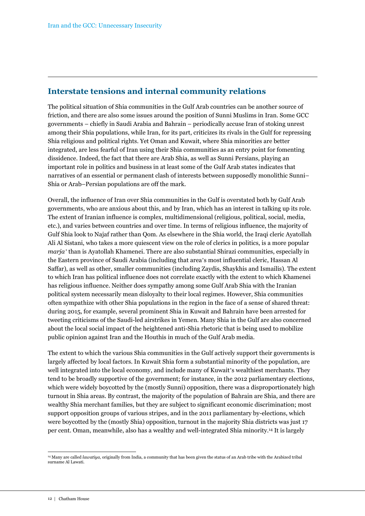#### **Interstate tensions and internal community relations**

The political situation of Shia communities in the Gulf Arab countries can be another source of friction, and there are also some issues around the position of Sunni Muslims in Iran. Some GCC governments – chiefly in Saudi Arabia and Bahrain – periodically accuse Iran of stoking unrest among their Shia populations, while Iran, for its part, criticizes its rivals in the Gulf for repressing Shia religious and political rights. Yet Oman and Kuwait, where Shia minorities are better integrated, are less fearful of Iran using their Shia communities as an entry point for fomenting dissidence. Indeed, the fact that there are Arab Shia, as well as Sunni Persians, playing an important role in politics and business in at least some of the Gulf Arab states indicates that narratives of an essential or permanent clash of interests between supposedly monolithic Sunni– Shia or Arab–Persian populations are off the mark.

Overall, the influence of Iran over Shia communities in the Gulf is overstated both by Gulf Arab governments, who are anxious about this, and by Iran, which has an interest in talking up its role. The extent of Iranian influence is complex, multidimensional (religious, political, social, media, etc.), and varies between countries and over time. In terms of religious influence, the majority of Gulf Shia look to Najaf rather than Qom. As elsewhere in the Shia world, the Iraqi cleric Ayatollah Ali Al Sistani, who takes a more quiescent view on the role of clerics in politics, is a more popular *marja'* than is Ayatollah Khamenei. There are also substantial Shirazi communities, especially in the Eastern province of Saudi Arabia (including that area's most influential cleric, Hassan Al Saffar), as well as other, smaller communities (including Zaydis, Shaykhis and Ismailis). The extent to which Iran has political influence does not correlate exactly with the extent to which Khamenei has religious influence. Neither does sympathy among some Gulf Arab Shia with the Iranian political system necessarily mean disloyalty to their local regimes. However, Shia communities often sympathize with other Shia populations in the region in the face of a sense of shared threat: during 2015, for example, several prominent Shia in Kuwait and Bahrain have been arrested for tweeting criticisms of the Saudi-led airstrikes in Yemen. Many Shia in the Gulf are also concerned about the local social impact of the heightened anti-Shia rhetoric that is being used to mobilize public opinion against Iran and the Houthis in much of the Gulf Arab media.

The extent to which the various Shia communities in the Gulf actively support their governments is largely affected by local factors. In Kuwait Shia form a substantial minority of the population, are well integrated into the local economy, and include many of Kuwait's wealthiest merchants. They tend to be broadly supportive of the government; for instance, in the 2012 parliamentary elections, which were widely boycotted by the (mostly Sunni) opposition, there was a disproportionately high turnout in Shia areas. By contrast, the majority of the population of Bahrain are Shia, and there are wealthy Shia merchant families, but they are subject to significant economic discrimination; most support opposition groups of various stripes, and in the 2011 parliamentary by-elections, which were boycotted by the (mostly Shia) opposition, turnout in the majority Shia districts was just 17 per cent. Oman, meanwhile, also has a wealthy and well-integrated Shia minority.14 It is largely

 $\overline{a}$ <sup>14</sup> Many are called *lawatiya*, originally from India, a community that has been given the status of an Arab tribe with the Arabized tribal surname Al Lawati.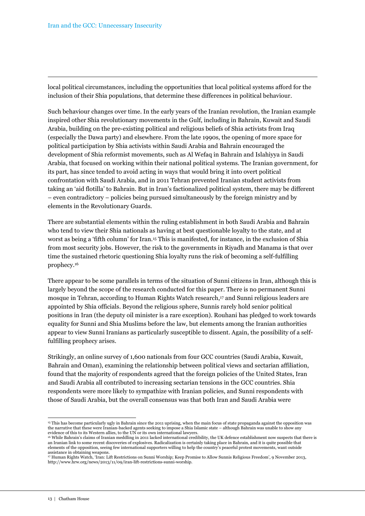local political circumstances, including the opportunities that local political systems afford for the inclusion of their Shia populations, that determine these differences in political behaviour.

Such behaviour changes over time. In the early years of the Iranian revolution, the Iranian example inspired other Shia revolutionary movements in the Gulf, including in Bahrain, Kuwait and Saudi Arabia, building on the pre-existing political and religious beliefs of Shia activists from Iraq (especially the Dawa party) and elsewhere. From the late 1990s, the opening of more space for political participation by Shia activists within Saudi Arabia and Bahrain encouraged the development of Shia reformist movements, such as Al Wefaq in Bahrain and Islahiyya in Saudi Arabia, that focused on working within their national political systems. The Iranian government, for its part, has since tended to avoid acting in ways that would bring it into overt political confrontation with Saudi Arabia, and in 2011 Tehran prevented Iranian student activists from taking an 'aid flotilla' to Bahrain. But in Iran's factionalized political system, there may be different – even contradictory – policies being pursued simultaneously by the foreign ministry and by elements in the Revolutionary Guards.

There are substantial elements within the ruling establishment in both Saudi Arabia and Bahrain who tend to view their Shia nationals as having at best questionable loyalty to the state, and at worst as being a 'fifth column' for Iran.15 This is manifested, for instance, in the exclusion of Shia from most security jobs. However, the risk to the governments in Riyadh and Manama is that over time the sustained rhetoric questioning Shia loyalty runs the risk of becoming a self-fulfilling prophecy.<sup>16</sup>

There appear to be some parallels in terms of the situation of Sunni citizens in Iran, although this is largely beyond the scope of the research conducted for this paper. There is no permanent Sunni mosque in Tehran, according to Human Rights Watch research,17 and Sunni religious leaders are appointed by Shia officials. Beyond the religious sphere, Sunnis rarely hold senior political positions in Iran (the deputy oil minister is a rare exception). Rouhani has pledged to work towards equality for Sunni and Shia Muslims before the law, but elements among the Iranian authorities appear to view Sunni Iranians as particularly susceptible to dissent. Again, the possibility of a selffulfilling prophecy arises.

Strikingly, an online survey of 1,600 nationals from four GCC countries (Saudi Arabia, Kuwait, Bahrain and Oman), examining the relationship between political views and sectarian affiliation, found that the majority of respondents agreed that the foreign policies of the United States, Iran and Saudi Arabia all contributed to increasing sectarian tensions in the GCC countries. Shia respondents were more likely to sympathize with Iranian policies, and Sunni respondents with those of Saudi Arabia, but the overall consensus was that both Iran and Saudi Arabia were

 $\overline{a}$ <sup>15</sup> This has become particularly ugly in Bahrain since the 2011 uprising, when the main focus of state propaganda against the opposition was the narrative that these were Iranian-backed agents seeking to impose a Shia Islamic state – although Bahrain was unable to show any evidence of this to its Western allies, to the UN or its own international lawyers.

<sup>16</sup> While Bahrain's claims of Iranian meddling in 2011 lacked international credibility, the UK defence establishment now suspects that there is an Iranian link to some recent discoveries of explosives. Radicalization is certainly taking place in Bahrain, and it is quite possible that elements of the opposition, seeing few international supporters willing to help the country's peaceful protest movements, want outside assistance in obtaining weapons.

<sup>17</sup> Human Rights Watch, 'Iran: Lift Restrictions on Sunni Worship; Keep Promise to Allow Sunnis Religious Freedom', 9 November 2013, http://www.hrw.org/news/2013/11/09/iran-lift-restrictions-sunni-worship.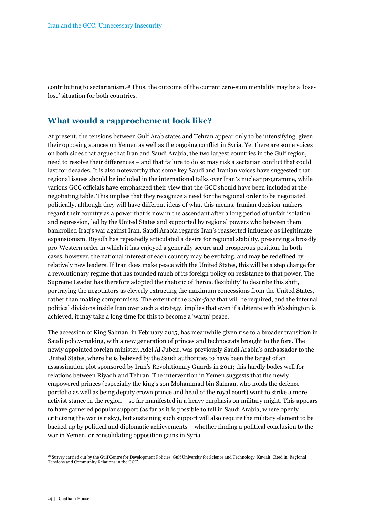contributing to sectarianism.18 Thus, the outcome of the current zero-sum mentality may be a 'loselose' situation for both countries.

#### **What would a rapprochement look like?**

At present, the tensions between Gulf Arab states and Tehran appear only to be intensifying, given their opposing stances on Yemen as well as the ongoing conflict in Syria. Yet there are some voices on both sides that argue that Iran and Saudi Arabia, the two largest countries in the Gulf region, need to resolve their differences – and that failure to do so may risk a sectarian conflict that could last for decades. It is also noteworthy that some key Saudi and Iranian voices have suggested that regional issues should be included in the international talks over Iran's nuclear programme, while various GCC officials have emphasized their view that the GCC should have been included at the negotiating table. This implies that they recognize a need for the regional order to be negotiated politically, although they will have different ideas of what this means. Iranian decision-makers regard their country as a power that is now in the ascendant after a long period of unfair isolation and repression, led by the United States and supported by regional powers who between them bankrolled Iraq's war against Iran. Saudi Arabia regards Iran's reasserted influence as illegitimate expansionism. Riyadh has repeatedly articulated a desire for regional stability, preserving a broadly pro-Western order in which it has enjoyed a generally secure and prosperous position. In both cases, however, the national interest of each country may be evolving, and may be redefined by relatively new leaders. If Iran does make peace with the United States, this will be a step change for a revolutionary regime that has founded much of its foreign policy on resistance to that power. The Supreme Leader has therefore adopted the rhetoric of 'heroic flexibility' to describe this shift, portraying the negotiators as cleverly extracting the maximum concessions from the United States, rather than making compromises. The extent of the *volte-face* that will be required, and the internal political divisions inside Iran over such a strategy, implies that even if a détente with Washington is achieved, it may take a long time for this to become a 'warm' peace.

The accession of King Salman, in February 2015, has meanwhile given rise to a broader transition in Saudi policy-making, with a new generation of princes and technocrats brought to the fore. The newly appointed foreign minister, Adel Al Jubeir, was previously Saudi Arabia's ambassador to the United States, where he is believed by the Saudi authorities to have been the target of an assassination plot sponsored by Iran's Revolutionary Guards in 2011; this hardly bodes well for relations between Riyadh and Tehran. The intervention in Yemen suggests that the newly empowered princes (especially the king's son Mohammad bin Salman, who holds the defence portfolio as well as being deputy crown prince and head of the royal court) want to strike a more activist stance in the region – so far manifested in a heavy emphasis on military might. This appears to have garnered popular support (as far as it is possible to tell in Saudi Arabia, where openly criticizing the war is risky), but sustaining such support will also require the military element to be backed up by political and diplomatic achievements – whether finding a political conclusion to the war in Yemen, or consolidating opposition gains in Syria.

 $\overline{a}$ <sup>18</sup> Survey carried out by the Gulf Centre for Development Policies, Gulf University for Science and Technology, Kuwait. Cited in 'Regional Tensions and Community Relations in the GCC'.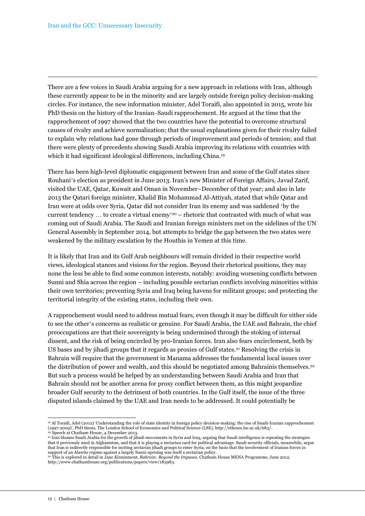There are a few voices in Saudi Arabia arguing for a new approach in relations with Iran, although these currently appear to be in the minority and are largely outside foreign policy decision-making circles. For instance, the new information minister, Adel Toraifi, also appointed in 2015, wrote his PhD thesis on the history of the Iranian–Saudi rapprochement. He argued at the time that the rapprochement of 1997 showed that the two countries have the potential to overcome structural causes of rivalry and achieve normalization; that the usual explanations given for their rivalry failed to explain why relations had gone through periods of improvement and periods of tension; and that there were plenty of precedents showing Saudi Arabia improving its relations with countries with which it had significant ideological differences, including China.<sup>19</sup>

There has been high-level diplomatic engagement between Iran and some of the Gulf states since Rouhani's election as president in June 2013. Iran's new Minister of Foreign Affairs, Javad Zarif, visited the UAE, Qatar, Kuwait and Oman in November–December of that year; and also in late 2013 the Qatari foreign minister, Khalid Bin Mohammad Al-Attiyah, stated that while Qatar and Iran were at odds over Syria, Qatar did not consider Iran its enemy and was saddened 'by the current tendency  $\dots$  to create a virtual enemy'<sup>20</sup> – rhetoric that contrasted with much of what was coming out of Saudi Arabia. The Saudi and Iranian foreign ministers met on the sidelines of the UN General Assembly in September 2014, but attempts to bridge the gap between the two states were weakened by the military escalation by the Houthis in Yemen at this time.

It is likely that Iran and its Gulf Arab neighbours will remain divided in their respective world views, ideological stances and visions for the region. Beyond their rhetorical positions, they may none the less be able to find some common interests, notably: avoiding worsening conflicts between Sunni and Shia across the region – including possible sectarian conflicts involving minorities within their own territories; preventing Syria and Iraq being havens for militant groups; and protecting the territorial integrity of the existing states, including their own.

A rapprochement would need to address mutual fears, even though it may be difficult for either side to see the other's concerns as realistic or genuine. For Saudi Arabia, the UAE and Bahrain, the chief preoccupations are that their sovereignty is being undermined through the stoking of internal dissent, and the risk of being encircled by pro-Iranian forces. Iran also fears encirclement, both by US bases and by jihadi groups that it regards as proxies of Gulf states.21 Resolving the crisis in Bahrain will require that the government in Manama addresses the fundamental local issues over the distribution of power and wealth, and this should be negotiated among Bahrainis themselves.<sup>22</sup> But such a process would be helped by an understanding between Saudi Arabia and Iran that Bahrain should not be another arena for proxy conflict between them, as this might jeopardize broader Gulf security to the detriment of both countries. In the Gulf itself, the issue of the three disputed islands claimed by the UAE and Iran needs to be addressed. It could potentially be

<sup>19</sup> Al Toraifi, Adel (2012) 'Understanding the role of state identity in foreign policy decision-making: the rise of Saudi-Iranian rapprochement (1997-2009)', PhD thesis, The London School of Economics and Political Science (LSE), http://etheses.lse.ac.uk/683/.

<sup>&</sup>lt;sup>20</sup> Speech at Chatham House, 4 December 2013.

<sup>21</sup> Iran blames Saudi Arabia for the growth of jihadi movements in Syria and Iraq, arguing that Saudi intelligence is repeating the strategies that it previously used in Afghanistan, and that it is playing a sectarian card for political advantage. Saudi security officials, meanwhile, argue<br>that Iran is indirectly responsible for inciting sectarian jihadi groups t support of an Alawite regime against a largely Sunni uprising was itself a sectarian policy.

<sup>22</sup> This is explored in detail in Jane Kinninmont, *Bahrain: Beyond the Impasse*, Chatham House MENA Programme, June 2012, http://www.chathamhouse.org/publications/papers/view/183983.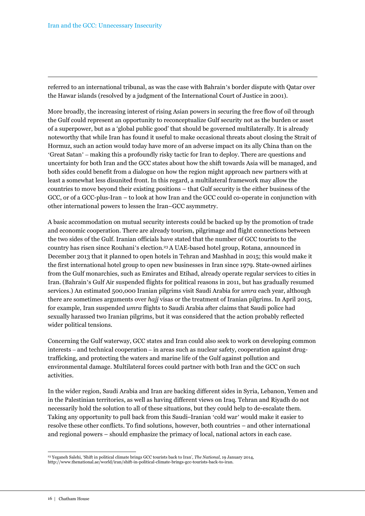referred to an international tribunal, as was the case with Bahrain's border dispute with Qatar over the Hawar islands (resolved by a judgment of the International Court of Justice in 2001).

More broadly, the increasing interest of rising Asian powers in securing the free flow of oil through the Gulf could represent an opportunity to reconceptualize Gulf security not as the burden or asset of a superpower, but as a 'global public good' that should be governed multilaterally. It is already noteworthy that while Iran has found it useful to make occasional threats about closing the Strait of Hormuz, such an action would today have more of an adverse impact on its ally China than on the 'Great Satan' – making this a profoundly risky tactic for Iran to deploy. There are questions and uncertainty for both Iran and the GCC states about how the shift towards Asia will be managed, and both sides could benefit from a dialogue on how the region might approach new partners with at least a somewhat less disunited front. In this regard, a multilateral framework may allow the countries to move beyond their existing positions – that Gulf security is the either business of the GCC, or of a GCC-plus-Iran – to look at how Iran and the GCC could co-operate in conjunction with other international powers to lessen the Iran–GCC asymmetry.

A basic accommodation on mutual security interests could be backed up by the promotion of trade and economic cooperation. There are already tourism, pilgrimage and flight connections between the two sides of the Gulf. Iranian officials have stated that the number of GCC tourists to the country has risen since Rouhani's election.23 A UAE-based hotel group, Rotana, announced in December 2013 that it planned to open hotels in Tehran and Mashhad in 2015; this would make it the first international hotel group to open new businesses in Iran since 1979. State-owned airlines from the Gulf monarchies, such as Emirates and Etihad, already operate regular services to cities in Iran. (Bahrain's Gulf Air suspended flights for political reasons in 2011, but has gradually resumed services.) An estimated 500,000 Iranian pilgrims visit Saudi Arabia for *umra* each year, although there are sometimes arguments over *hajj* visas or the treatment of Iranian pilgrims. In April 2015, for example, Iran suspended *umra* flights to Saudi Arabia after claims that Saudi police had sexually harassed two Iranian pilgrims, but it was considered that the action probably reflected wider political tensions.

Concerning the Gulf waterway, GCC states and Iran could also seek to work on developing common interests – and technical cooperation – in areas such as nuclear safety, cooperation against drugtrafficking, and protecting the waters and marine life of the Gulf against pollution and environmental damage. Multilateral forces could partner with both Iran and the GCC on such activities.

In the wider region, Saudi Arabia and Iran are backing different sides in Syria, Lebanon, Yemen and in the Palestinian territories, as well as having different views on Iraq. Tehran and Riyadh do not necessarily hold the solution to all of these situations, but they could help to de-escalate them. Taking any opportunity to pull back from this Saudi–Iranian 'cold war' would make it easier to resolve these other conflicts. To find solutions, however, both countries – and other international and regional powers – should emphasize the primacy of local, national actors in each case.

 $\overline{a}$ <sup>23</sup> Yeganeh Salehi, 'Shift in political climate brings GCC tourists back to Iran', *The National*, 19 January 2014, http://www.thenational.ae/world/iran/shift-in-political-climate-brings-gcc-tourists-back-to-iran.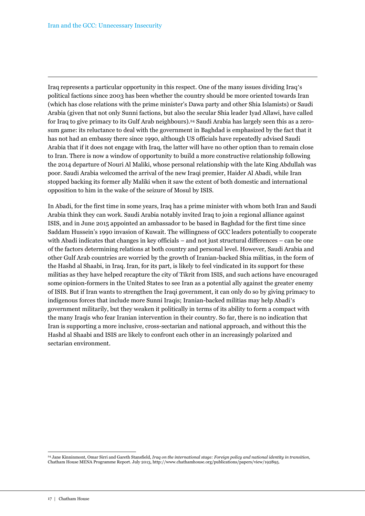Iraq represents a particular opportunity in this respect. One of the many issues dividing Iraq's political factions since 2003 has been whether the country should be more oriented towards Iran (which has close relations with the prime minister's Dawa party and other Shia Islamists) or Saudi Arabia (given that not only Sunni factions, but also the secular Shia leader Iyad Allawi, have called for Iraq to give primacy to its Gulf Arab neighbours).24 Saudi Arabia has largely seen this as a zerosum game: its reluctance to deal with the government in Baghdad is emphasized by the fact that it has not had an embassy there since 1990, although US officials have repeatedly advised Saudi Arabia that if it does not engage with Iraq, the latter will have no other option than to remain close to Iran. There is now a window of opportunity to build a more constructive relationship following the 2014 departure of Nouri Al Maliki, whose personal relationship with the late King Abdullah was poor. Saudi Arabia welcomed the arrival of the new Iraqi premier, Haider Al Abadi, while Iran stopped backing its former ally Maliki when it saw the extent of both domestic and international opposition to him in the wake of the seizure of Mosul by ISIS.

In Abadi, for the first time in some years, Iraq has a prime minister with whom both Iran and Saudi Arabia think they can work. Saudi Arabia notably invited Iraq to join a regional alliance against ISIS, and in June 2015 appointed an ambassador to be based in Baghdad for the first time since Saddam Hussein's 1990 invasion of Kuwait. The willingness of GCC leaders potentially to cooperate with Abadi indicates that changes in key officials – and not just structural differences – can be one of the factors determining relations at both country and personal level. However, Saudi Arabia and other Gulf Arab countries are worried by the growth of Iranian-backed Shia militias, in the form of the Hashd al Shaabi, in Iraq. Iran, for its part, is likely to feel vindicated in its support for these militias as they have helped recapture the city of Tikrit from ISIS, and such actions have encouraged some opinion-formers in the United States to see Iran as a potential ally against the greater enemy of ISIS. But if Iran wants to strengthen the Iraqi government, it can only do so by giving primacy to indigenous forces that include more Sunni Iraqis; Iranian-backed militias may help Abadi's government militarily, but they weaken it politically in terms of its ability to form a compact with the many Iraqis who fear Iranian intervention in their country. So far, there is no indication that Iran is supporting a more inclusive, cross-sectarian and national approach, and without this the Hashd al Shaabi and ISIS are likely to confront each other in an increasingly polarized and sectarian environment.

 $\overline{a}$ <sup>24</sup> Jane Kinninmont, Omar Sirri and Gareth Stansfield, *Iraq on the international stage: Foreign policy and national identity in transition*, Chatham House MENA Programme Report. July 2013, http://www.chathamhouse.org/publications/papers/view/192895.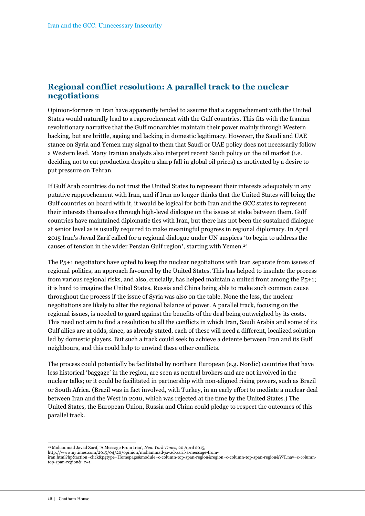## **Regional conflict resolution: A parallel track to the nuclear negotiations**

Opinion-formers in Iran have apparently tended to assume that a rapprochement with the United States would naturally lead to a rapprochement with the Gulf countries. This fits with the Iranian revolutionary narrative that the Gulf monarchies maintain their power mainly through Western backing, but are brittle, ageing and lacking in domestic legitimacy. However, the Saudi and UAE stance on Syria and Yemen may signal to them that Saudi or UAE policy does not necessarily follow a Western lead. Many Iranian analysts also interpret recent Saudi policy on the oil market (i.e. deciding not to cut production despite a sharp fall in global oil prices) as motivated by a desire to put pressure on Tehran.

If Gulf Arab countries do not trust the United States to represent their interests adequately in any putative rapprochement with Iran, and if Iran no longer thinks that the United States will bring the Gulf countries on board with it, it would be logical for both Iran and the GCC states to represent their interests themselves through high-level dialogue on the issues at stake between them. Gulf countries have maintained diplomatic ties with Iran, but there has not been the sustained dialogue at senior level as is usually required to make meaningful progress in regional diplomacy. In April 2015 Iran's Javad Zarif called for a regional dialogue under UN auspices 'to begin to address the causes of tension in the wider Persian Gulf region', starting with Yemen.<sup>25</sup>

The P5+1 negotiators have opted to keep the nuclear negotiations with Iran separate from issues of regional politics, an approach favoured by the United States. This has helped to insulate the process from various regional risks, and also, crucially, has helped maintain a united front among the P5+1; it is hard to imagine the United States, Russia and China being able to make such common cause throughout the process if the issue of Syria was also on the table. None the less, the nuclear negotiations are likely to alter the regional balance of power. A parallel track, focusing on the regional issues, is needed to guard against the benefits of the deal being outweighed by its costs. This need not aim to find a resolution to all the conflicts in which Iran, Saudi Arabia and some of its Gulf allies are at odds, since, as already stated, each of these will need a different, localized solution led by domestic players. But such a track could seek to achieve a detente between Iran and its Gulf neighbours, and this could help to unwind these other conflicts.

The process could potentially be facilitated by northern European (e.g. Nordic) countries that have less historical 'baggage' in the region, are seen as neutral brokers and are not involved in the nuclear talks; or it could be facilitated in partnership with non-aligned rising powers, such as Brazil or South Africa. (Brazil was in fact involved, with Turkey, in an early effort to mediate a nuclear deal between Iran and the West in 2010, which was rejected at the time by the United States.) The United States, the European Union, Russia and China could pledge to respect the outcomes of this parallel track.

http://www.nytimes.com/2015/04/20/opinion/mohammad-javad-zarif-a-message-from-

<sup>25</sup> Mohammad Javad Zarif, 'A Message From Iran', *New York Times*, 20 April 2015,

iran.html?hp&action=click&pgtype=Homepage&module=c-column-top-span-region&region=c-column-top-span-region&WT.nav=c-columntop-span-region&\_r=1.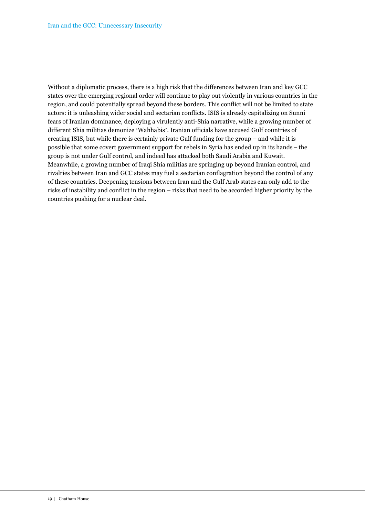Without a diplomatic process, there is a high risk that the differences between Iran and key GCC states over the emerging regional order will continue to play out violently in various countries in the region, and could potentially spread beyond these borders. This conflict will not be limited to state actors: it is unleashing wider social and sectarian conflicts. ISIS is already capitalizing on Sunni fears of Iranian dominance, deploying a virulently anti-Shia narrative, while a growing number of different Shia militias demonize 'Wahhabis'. Iranian officials have accused Gulf countries of creating ISIS, but while there is certainly private Gulf funding for the group – and while it is possible that some covert government support for rebels in Syria has ended up in its hands – the group is not under Gulf control, and indeed has attacked both Saudi Arabia and Kuwait. Meanwhile, a growing number of Iraqi Shia militias are springing up beyond Iranian control, and rivalries between Iran and GCC states may fuel a sectarian conflagration beyond the control of any of these countries. Deepening tensions between Iran and the Gulf Arab states can only add to the risks of instability and conflict in the region – risks that need to be accorded higher priority by the countries pushing for a nuclear deal.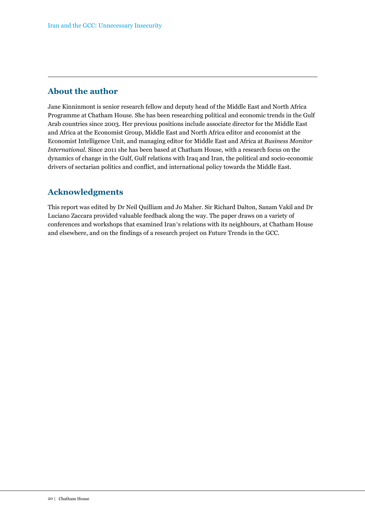# **About the author**

Jane Kinninmont is senior research fellow and deputy head of the Middle East and North Africa Programme at Chatham House. She has been researching political and economic trends in the Gulf Arab countries since 2003. Her previous positions include associate director for the Middle East and Africa at the Economist Group, Middle East and North Africa editor and economist at the Economist Intelligence Unit, and managing editor for Middle East and Africa at *Business Monitor International*. Since 2011 she has been based at Chatham House, with a research focus on the dynamics of change in the Gulf, Gulf relations with Iraq and Iran, the political and socio-economic drivers of sectarian politics and conflict, and international policy towards the Middle East.

# **Acknowledgments**

This report was edited by Dr Neil Quilliam and Jo Maher. Sir Richard Dalton, Sanam Vakil and Dr Luciano Zaccara provided valuable feedback along the way. The paper draws on a variety of conferences and workshops that examined Iran's relations with its neighbours, at Chatham House and elsewhere, and on the findings of a research project on Future Trends in the GCC.